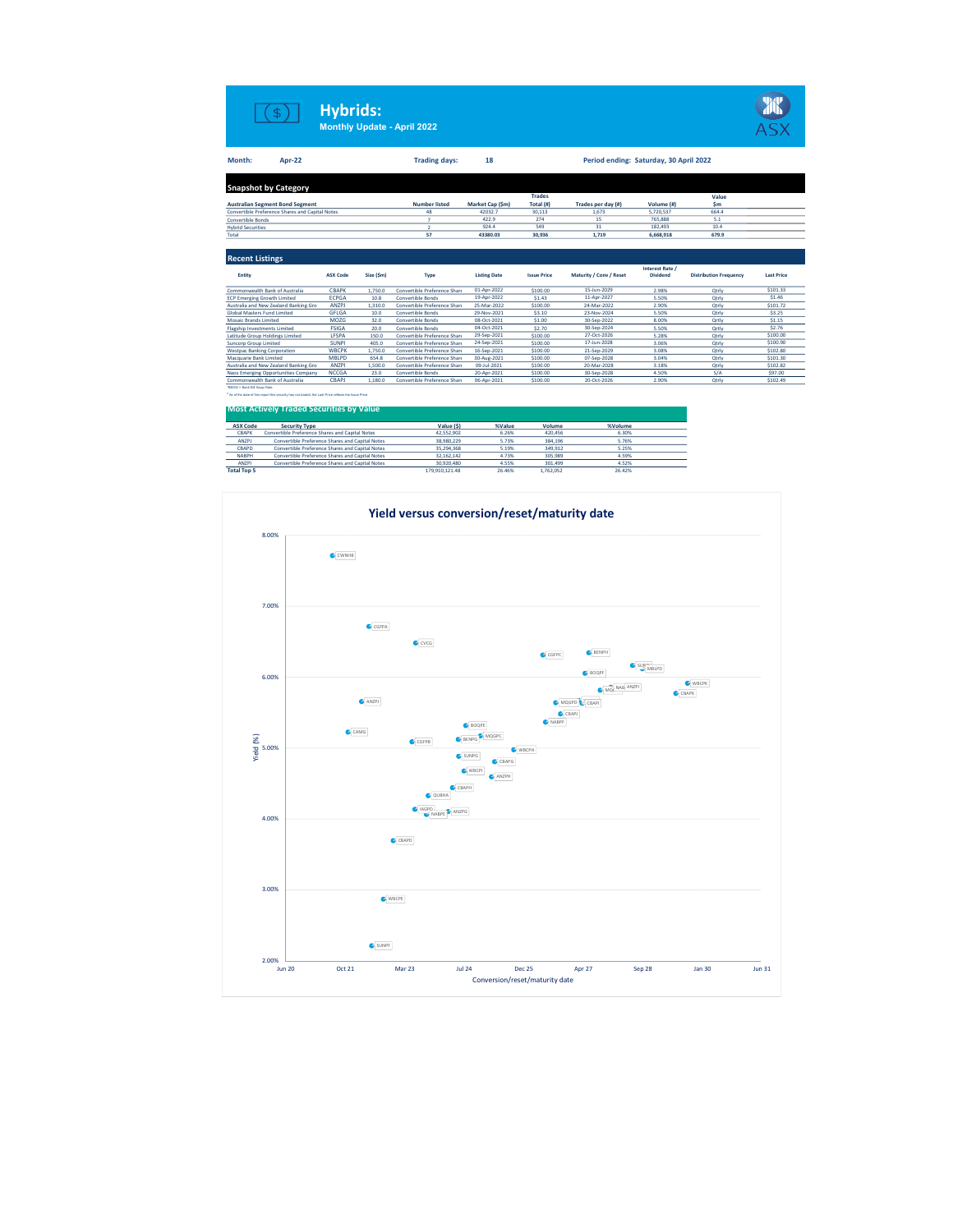|                              | S                                                                                                                                                      | <b>Hybrids:</b>                                 |           | <b>Monthly Update - April 2022</b> |                            |                    |                                        |                 |                               |                     |
|------------------------------|--------------------------------------------------------------------------------------------------------------------------------------------------------|-------------------------------------------------|-----------|------------------------------------|----------------------------|--------------------|----------------------------------------|-----------------|-------------------------------|---------------------|
| Month:                       | <b>Apr-22</b>                                                                                                                                          |                                                 |           | <b>Trading days:</b>               | 18                         |                    | Period ending: Saturday, 30 April 2022 |                 |                               |                     |
|                              | <b>Snapshot by Category</b>                                                                                                                            |                                                 |           |                                    |                            |                    |                                        |                 |                               |                     |
|                              |                                                                                                                                                        |                                                 |           |                                    |                            | <b>Trades</b>      |                                        |                 | Value                         |                     |
|                              | <b>Australian Segment Bond Segment</b>                                                                                                                 |                                                 |           | <b>Number listed</b>               | Market Cap (\$m)           | Total (#)          | Trades per day (#)                     | Volume (#)      | \$m                           |                     |
|                              | Convertible Preference Shares and Capital Notes                                                                                                        |                                                 |           | 48                                 | 42032.7                    | 30.113             | 1.673                                  | 5.720.537       | 664.4                         |                     |
| <b>Convertible Bonds</b>     |                                                                                                                                                        |                                                 |           | $\overline{7}$                     | 422.9                      | 274                | 15                                     | 765,888         | 5.1                           |                     |
| <b>Hybrid Securities</b>     |                                                                                                                                                        |                                                 |           | $\overline{2}$                     | 924.4                      | 549                | 31                                     | 182,493         | 10.4                          |                     |
| Total                        |                                                                                                                                                        |                                                 |           | 57                                 | 43380.03                   | 30.936             | 1.719                                  | 6,668,918       | 679.9                         |                     |
| <b>Recent Listings</b>       |                                                                                                                                                        |                                                 |           |                                    |                            |                    |                                        | Interest Rate / |                               |                     |
| Entity                       |                                                                                                                                                        | <b>ASX Code</b>                                 | Size (Sm) | Type                               | <b>Listing Date</b>        | <b>Issue Price</b> | Maturity / Conv / Reset                | <b>Dividend</b> | <b>Distribution Frequency</b> | <b>Last Price</b>   |
|                              | Commonwealth Bank of Australia                                                                                                                         | CBAPK                                           | 1,750.0   | Convertible Preference Share       | 01-Apr-2022                | \$100.00           | 15-Jun-2029                            | 2.98%           | Qtrly                         | \$101.33            |
|                              | <b>ECP Emerging Growth Limited</b>                                                                                                                     | <b>ECPGA</b>                                    | 10.8      | <b>Convertible Bonds</b>           | 19-Apr-2022                | S1.43              | 11-Apr-2027                            | 5.50%           | Otrly                         | \$1.46              |
|                              | Australia and New Zealand Banking Gro                                                                                                                  | <b>ANZPJ</b>                                    | 1.310.0   | Convertible Preference Share       | 25-Mar-2022                | \$100.00           | 24-Mar-2022                            | 2.90%           | Otrly                         | \$101.72            |
|                              | <b>Global Masters Fund Limited</b>                                                                                                                     | <b>GFLGA</b>                                    | 10.0      | <b>Convertible Bonds</b>           | 29-Nov-2021                | \$3.10             | 23-Nov-2024                            | 5.50%           | Qtrly                         | \$3.25              |
| <b>Mosaic Brands Limited</b> |                                                                                                                                                        | MOZG                                            | 32.0      | <b>Convertible Bonds</b>           | 08-Oct-2021                | \$1.00             | 30-Sep-2022                            | 8.00%           | Ortly                         | \$1.15              |
|                              | <b>Flagship Investments Limited</b>                                                                                                                    | <b>FSIGA</b>                                    | 20.0      | <b>Convertible Bonds</b>           | 04-Oct-2021                | \$2.70             | 30-Sep-2024                            | 5.50%           | Ortly                         | \$2.76              |
|                              | Latitude Group Holdings Limited                                                                                                                        | LFSPA                                           | 150.0     | Convertible Preference Share       | 29-Sep-2021                | \$100.00           | 27-Oct-2026                            | 5.28%           | Qtrly                         | \$100.00            |
| <b>Suncorp Group Limited</b> |                                                                                                                                                        | <b>SUNPI</b>                                    | 405.0     | Convertible Preference Share       | 24-Sep-2021                | \$100.00           | 17-Jun-2028                            | 3.06%           | Otrly                         | \$100.90            |
|                              | <b>Westpac Banking Corporation</b>                                                                                                                     | <b>WBCPK</b>                                    | 1,750.0   | Convertible Preference Share       | 16-Sep-2021                | \$100.00           | 21-Sep-2029                            | 3.08%           | Qtrly                         | \$102.80            |
| Macquarie Bank Limited       |                                                                                                                                                        | <b>MBLPD</b>                                    | 654.8     | Convertible Preference Share       | 30-Aug-2021                | \$100.00           | 07-Sep-2028                            | 3.04%           | Qtrly                         | \$101.30            |
|                              | Australia and New Zealand Banking Gro                                                                                                                  | <b>ANZPI</b>                                    | 1,500.0   | Convertible Preference Share       | 09-Jul-2021                | \$100.00           | 20-Mar-2028                            | 3.18%           | Otrly                         | \$102.82            |
|                              | Naos Emerging Opportunities Company                                                                                                                    | <b>NCCGA</b>                                    | 23.0      | <b>Convertible Bonds</b>           | 20-Apr-2021<br>06-Apr-2021 | \$100.00           | 30-Sep-2028<br>20-Oct-2026             | 4.50%           | S/A                           | \$97.00<br>\$102.49 |
| "55SW - Bank Bill Swap Rate  | Commonwealth Bank of Australia                                                                                                                         | CBAPJ                                           | 1,180.0   | Convertible Preference Share       |                            | \$100.00           |                                        | 2.90%           | Otrly                         |                     |
|                              | As of the date of this report this security has not traded, the Last Price reflects the lasue Price<br><b>Most Actively Traded Securities by Value</b> |                                                 |           |                                    |                            |                    |                                        |                 |                               |                     |
| <b>ASX Code</b>              | <b>Security Type</b>                                                                                                                                   |                                                 |           | Value (\$)                         | %Value                     | Volume             | %Volume                                |                 |                               |                     |
| CBAPK                        |                                                                                                                                                        | Convertible Preference Shares and Capital Notes |           | 42.552.902                         | 6.26%                      | 420.456            | 6.30%                                  |                 |                               |                     |
| <b>ANZPJ</b>                 | Convertible Preference Shares and Capital Notes                                                                                                        |                                                 |           | 38.980.229                         | 5.73%                      | 384.196            | 5.76%                                  |                 |                               |                     |

Ξ

CBAPD 35,294,368 5.19% 349,912 5.25% Convertible Preference Shares and Capital Notes NABPH Convertible Preference Shares and Capital Notes 32,162,142 4.73% 305,989 4.59% 4.59% 4.59% 4.59% 4.59% 4.59%<br>4.2.2.1/2010 ANZPI 2.000 4.52% 4.52% 4.52% 4.52% 4.55% 30.920,480 4.55% 301,499 4.52% 4.52% 4.52% 4.52% 4.

Convertible Preference Shares and Capital Notes Convertible Preference Shares and Capital Notes

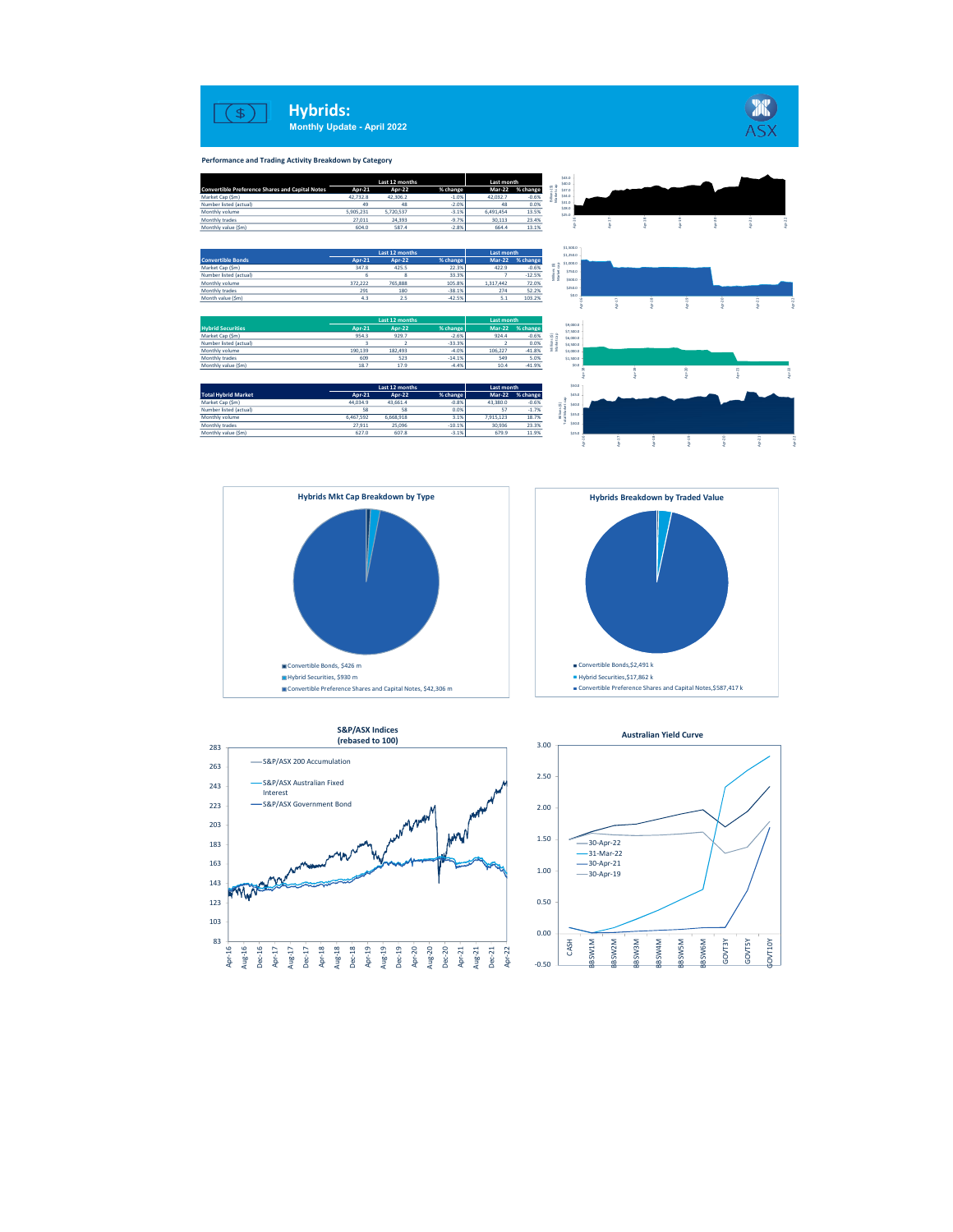

Performance and Trading Activity Breakdown by Category

| \$43.0<br>Last 12 months<br>Last month<br>\$40.0<br>68<br><b>Convertible Preference Shares and Capital Notes</b><br>Apr-22<br>% change<br><b>Mar-22</b><br>Apr-21<br>% change<br>\$37.0 |
|-----------------------------------------------------------------------------------------------------------------------------------------------------------------------------------------|
|                                                                                                                                                                                         |
|                                                                                                                                                                                         |
| \$34.0<br>Market Cap (Sm)<br>$-1.0%$<br>42.732.8<br>42.306.2<br>42.032.7<br>$-0.6%$                                                                                                     |
| \$31.0<br>49<br>$-2.0%$<br>Number listed (actual)<br>48<br>48<br>0.0%<br>\$28.0                                                                                                         |
| 5,720,537<br>$-3.1%$<br>5,905,231<br>13.5%<br>Monthly volume<br>6,491,454<br>\$25.0                                                                                                     |
| 24.393<br>$-9.7%$<br>23.4%<br>Monthly trades<br>27.011<br>30,113                                                                                                                        |
| $-2.8%$<br>13.1%<br>Monthly value (\$m)<br>604.0<br>587.4<br>664.4                                                                                                                      |
|                                                                                                                                                                                         |
| \$1,500.0                                                                                                                                                                               |
| Last 12 months<br>Last month<br>\$1,250.0                                                                                                                                               |
| Mar-22 % change<br><b>Convertible Bonds</b><br>Apr-21<br><b>Apr-22</b><br>% change<br>\$1,000.0                                                                                         |
| 22.3%<br>Market Cap (\$m)<br>347.8<br>425.5<br>422.9<br>$-0.6%$<br>\$750.0                                                                                                              |
| 33.3%<br>$-12.5%$<br>Number listed (actual)<br>-6<br>33                                                                                                                                 |
| \$500.0<br>372.222<br>765,888<br>105.8%<br>72.0%<br>Monthly volume<br>1.317,442                                                                                                         |
| \$250.0<br>$-38.1%$<br>274<br>52.2%<br>Monthly trades<br>291<br>180                                                                                                                     |
| 50.0<br>103.2%<br>Month value (\$m)<br>4.3<br>2.5<br>$-42.5%$<br>5.1                                                                                                                    |
|                                                                                                                                                                                         |
|                                                                                                                                                                                         |
| Last 12 months<br><b>Last month</b><br>\$9,000.0                                                                                                                                        |
| Apr-21<br>% change<br>Mar-22 % change<br><b>Hybrid Securities</b><br><b>Apr-22</b><br>\$7,500.0                                                                                         |
| Market Cap (\$m)<br>929.7<br>$-2.6%$<br>$-0.6%$<br>e G<br>954.3<br>924.4<br>\$6,000.0                                                                                                   |
| 0.0%<br>$-33.3%$<br>Number listed (actual)<br>$\overline{z}$<br>$\overline{ }$<br>\$4,500.0                                                                                             |
| $-41.8%$<br>통원<br>106,227<br>190,139<br>182.493<br>$-4.0%$<br>Monthly volume<br>\$3,000.0                                                                                               |
| 609<br>5.0%<br>Monthly trades<br>523<br>$-14.1%$<br>549<br>\$1,500.0                                                                                                                    |
| 18.7<br>\$0.0<br>17.9<br>$-4.4%$<br>10.4<br>$-41.9%$<br>Monthly value (\$m)                                                                                                             |
|                                                                                                                                                                                         |
| \$50.0                                                                                                                                                                                  |
| Last 12 months<br>Last month                                                                                                                                                            |
| <b>Total Hybrid Market</b><br>Apr-21<br>Apr-22<br>% change<br>Mar-22 % change<br>\$45.0                                                                                                 |
| Market Cap (\$m)<br>44,034.9<br>43,661.4<br>$-0.8%$<br>43,380.0<br>$-0.6%$<br>8š<br>\$40.0                                                                                              |
| $-1.7%$<br>58<br>58<br>0.0%<br>Number listed (actual)<br>57                                                                                                                             |
|                                                                                                                                                                                         |
| $\frac{8}{3}$ $\frac{8}{3}$ ssso -<br>6,467,592<br>6,668,918<br>3.1%<br>7,915,123<br>18.7%<br>Monthly volume                                                                            |
| 0.015<br>23.3%<br>25,096<br>$-10.1%$<br>Monthly trades<br>27,911<br>30.936<br>$-3.1%$<br>11.9%<br>627.0<br>607.8<br>679.9<br>Monthly value (\$m)                                        |









103  $123 - 123$  $143 - \frac{1}{2}$ 163 - Massachul March 163  $183$   $\overline{\phantom{a}}$   $\overline{\phantom{a}}$   $\overline{\phantom{a}}$   $\overline{\phantom{a}}$   $\overline{\phantom{a}}$   $\overline{\phantom{a}}$   $\overline{\phantom{a}}$   $\overline{\phantom{a}}$   $\overline{\phantom{a}}$   $\overline{\phantom{a}}$   $\overline{\phantom{a}}$   $\overline{\phantom{a}}$   $\overline{\phantom{a}}$   $\overline{\phantom{a}}$   $\overline{\phantom{a}}$   $\overline{\phantom{a}}$   $\overline{\phantom{a}}$   $\overline{\phantom{a}}$ 203  $\sim$  203  $\sim$  203  $\sim$  203  $\sim$  203  $\sim$  203  $\sim$  203  $\sim$  203  $\sim$  201  $\sim$  201  $\sim$  201  $\sim$  201  $\sim$  201  $\sim$  201  $\sim$  201  $\sim$  201  $\sim$  201  $\sim$  201  $\sim$  201  $\sim$  201  $\sim$  201  $\sim$  201  $\sim$  201  $\sim$  201  $\sim$  201 223 S&P/ASX Government Bond